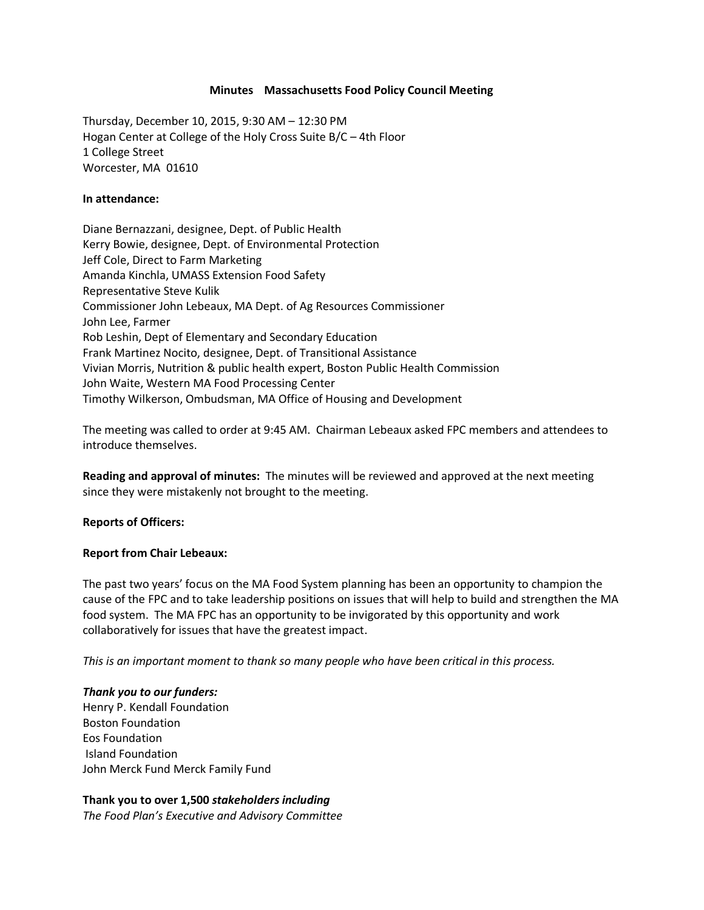### **Minutes Massachusetts Food Policy Council Meeting**

Thursday, December 10, 2015, 9:30 AM – 12:30 PM Hogan Center at College of the Holy Cross Suite B/C – 4th Floor 1 College Street Worcester, MA 01610

## **In attendance:**

Diane Bernazzani, designee, Dept. of Public Health Kerry Bowie, designee, Dept. of Environmental Protection Jeff Cole, Direct to Farm Marketing Amanda Kinchla, UMASS Extension Food Safety Representative Steve Kulik Commissioner John Lebeaux, MA Dept. of Ag Resources Commissioner John Lee, Farmer Rob Leshin, Dept of Elementary and Secondary Education Frank Martinez Nocito, designee, Dept. of Transitional Assistance Vivian Morris, Nutrition & public health expert, Boston Public Health Commission John Waite, Western MA Food Processing Center Timothy Wilkerson, Ombudsman, MA Office of Housing and Development

The meeting was called to order at 9:45 AM. Chairman Lebeaux asked FPC members and attendees to introduce themselves.

**Reading and approval of minutes:** The minutes will be reviewed and approved at the next meeting since they were mistakenly not brought to the meeting.

# **Reports of Officers:**

# **Report from Chair Lebeaux:**

The past two years' focus on the MA Food System planning has been an opportunity to champion the cause of the FPC and to take leadership positions on issues that will help to build and strengthen the MA food system. The MA FPC has an opportunity to be invigorated by this opportunity and work collaboratively for issues that have the greatest impact.

*This is an important moment to thank so many people who have been critical in this process.*

### *Thank you to our funders:*

Henry P. Kendall Foundation Boston Foundation Eos Foundation Island Foundation John Merck Fund Merck Family Fund

# **Thank you to over 1,500** *stakeholders including*

*The Food Plan's Executive and Advisory Committee*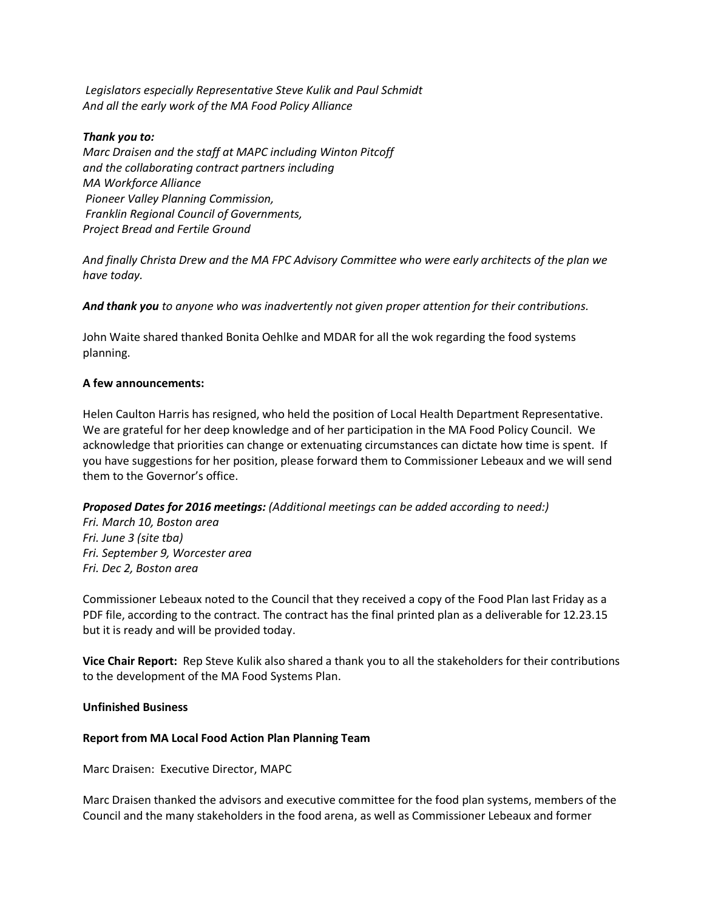*Legislators especially Representative Steve Kulik and Paul Schmidt And all the early work of the MA Food Policy Alliance*

## *Thank you to:*

*Marc Draisen and the staff at MAPC including Winton Pitcoff and the collaborating contract partners including MA Workforce Alliance Pioneer Valley Planning Commission, Franklin Regional Council of Governments, Project Bread and Fertile Ground*

*And finally Christa Drew and the MA FPC Advisory Committee who were early architects of the plan we have today.*

*And thank you to anyone who was inadvertently not given proper attention for their contributions.* 

John Waite shared thanked Bonita Oehlke and MDAR for all the wok regarding the food systems planning.

### **A few announcements:**

Helen Caulton Harris has resigned, who held the position of Local Health Department Representative. We are grateful for her deep knowledge and of her participation in the MA Food Policy Council. We acknowledge that priorities can change or extenuating circumstances can dictate how time is spent. If you have suggestions for her position, please forward them to Commissioner Lebeaux and we will send them to the Governor's office.

# *Proposed Dates for 2016 meetings: (Additional meetings can be added according to need:)*

*Fri. March 10, Boston area Fri. June 3 (site tba) Fri. September 9, Worcester area Fri. Dec 2, Boston area*

Commissioner Lebeaux noted to the Council that they received a copy of the Food Plan last Friday as a PDF file, according to the contract. The contract has the final printed plan as a deliverable for 12.23.15 but it is ready and will be provided today.

**Vice Chair Report:** Rep Steve Kulik also shared a thank you to all the stakeholders for their contributions to the development of the MA Food Systems Plan.

# **Unfinished Business**

# **Report from MA Local Food Action Plan Planning Team**

Marc Draisen: Executive Director, MAPC

Marc Draisen thanked the advisors and executive committee for the food plan systems, members of the Council and the many stakeholders in the food arena, as well as Commissioner Lebeaux and former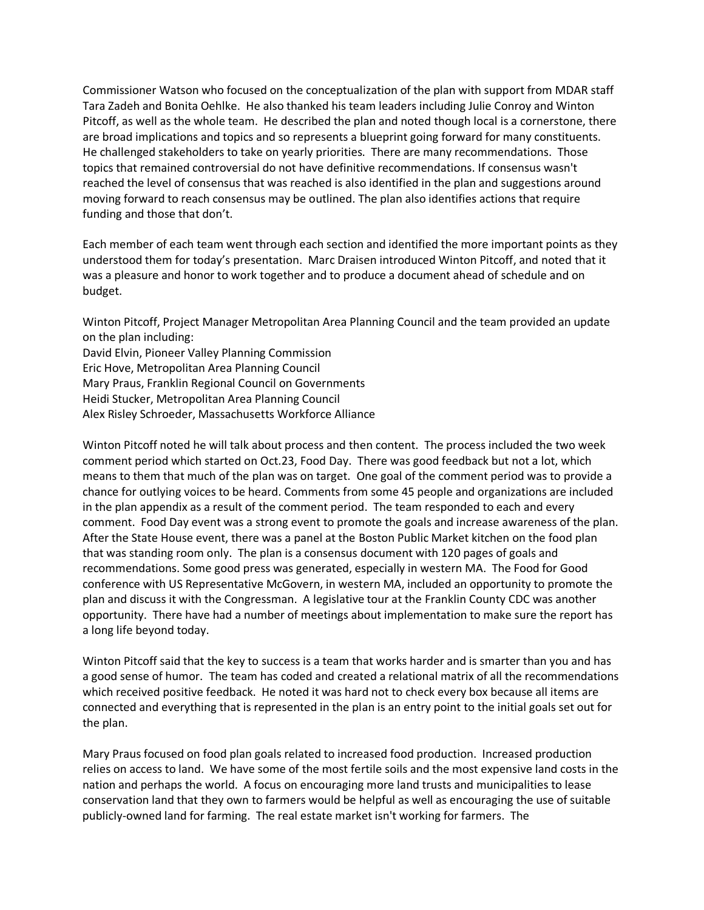Commissioner Watson who focused on the conceptualization of the plan with support from MDAR staff Tara Zadeh and Bonita Oehlke. He also thanked his team leaders including Julie Conroy and Winton Pitcoff, as well as the whole team. He described the plan and noted though local is a cornerstone, there are broad implications and topics and so represents a blueprint going forward for many constituents. He challenged stakeholders to take on yearly priorities. There are many recommendations. Those topics that remained controversial do not have definitive recommendations. If consensus wasn't reached the level of consensus that was reached is also identified in the plan and suggestions around moving forward to reach consensus may be outlined. The plan also identifies actions that require funding and those that don't.

Each member of each team went through each section and identified the more important points as they understood them for today's presentation. Marc Draisen introduced Winton Pitcoff, and noted that it was a pleasure and honor to work together and to produce a document ahead of schedule and on budget.

Winton Pitcoff, Project Manager Metropolitan Area Planning Council and the team provided an update on the plan including: David Elvin, Pioneer Valley Planning Commission Eric Hove, Metropolitan Area Planning Council Mary Praus, Franklin Regional Council on Governments

Heidi Stucker, Metropolitan Area Planning Council

Alex Risley Schroeder, Massachusetts Workforce Alliance

Winton Pitcoff noted he will talk about process and then content. The process included the two week comment period which started on Oct.23, Food Day. There was good feedback but not a lot, which means to them that much of the plan was on target. One goal of the comment period was to provide a chance for outlying voices to be heard. Comments from some 45 people and organizations are included in the plan appendix as a result of the comment period. The team responded to each and every comment. Food Day event was a strong event to promote the goals and increase awareness of the plan. After the State House event, there was a panel at the Boston Public Market kitchen on the food plan that was standing room only. The plan is a consensus document with 120 pages of goals and recommendations. Some good press was generated, especially in western MA. The Food for Good conference with US Representative McGovern, in western MA, included an opportunity to promote the plan and discuss it with the Congressman. A legislative tour at the Franklin County CDC was another opportunity. There have had a number of meetings about implementation to make sure the report has a long life beyond today.

Winton Pitcoff said that the key to success is a team that works harder and is smarter than you and has a good sense of humor. The team has coded and created a relational matrix of all the recommendations which received positive feedback. He noted it was hard not to check every box because all items are connected and everything that is represented in the plan is an entry point to the initial goals set out for the plan.

Mary Praus focused on food plan goals related to increased food production. Increased production relies on access to land. We have some of the most fertile soils and the most expensive land costs in the nation and perhaps the world. A focus on encouraging more land trusts and municipalities to lease conservation land that they own to farmers would be helpful as well as encouraging the use of suitable publicly-owned land for farming. The real estate market isn't working for farmers. The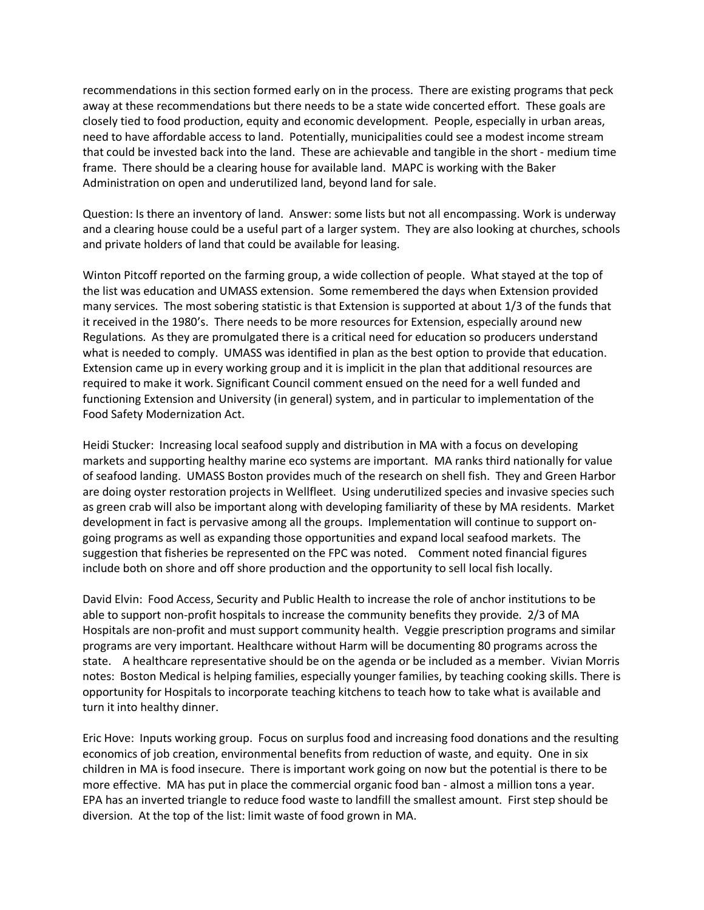recommendations in this section formed early on in the process. There are existing programs that peck away at these recommendations but there needs to be a state wide concerted effort. These goals are closely tied to food production, equity and economic development. People, especially in urban areas, need to have affordable access to land. Potentially, municipalities could see a modest income stream that could be invested back into the land. These are achievable and tangible in the short - medium time frame. There should be a clearing house for available land. MAPC is working with the Baker Administration on open and underutilized land, beyond land for sale.

Question: Is there an inventory of land. Answer: some lists but not all encompassing. Work is underway and a clearing house could be a useful part of a larger system. They are also looking at churches, schools and private holders of land that could be available for leasing.

Winton Pitcoff reported on the farming group, a wide collection of people. What stayed at the top of the list was education and UMASS extension. Some remembered the days when Extension provided many services. The most sobering statistic is that Extension is supported at about 1/3 of the funds that it received in the 1980's. There needs to be more resources for Extension, especially around new Regulations. As they are promulgated there is a critical need for education so producers understand what is needed to comply. UMASS was identified in plan as the best option to provide that education. Extension came up in every working group and it is implicit in the plan that additional resources are required to make it work. Significant Council comment ensued on the need for a well funded and functioning Extension and University (in general) system, and in particular to implementation of the Food Safety Modernization Act.

Heidi Stucker: Increasing local seafood supply and distribution in MA with a focus on developing markets and supporting healthy marine eco systems are important. MA ranks third nationally for value of seafood landing. UMASS Boston provides much of the research on shell fish. They and Green Harbor are doing oyster restoration projects in Wellfleet. Using underutilized species and invasive species such as green crab will also be important along with developing familiarity of these by MA residents. Market development in fact is pervasive among all the groups. Implementation will continue to support ongoing programs as well as expanding those opportunities and expand local seafood markets. The suggestion that fisheries be represented on the FPC was noted. Comment noted financial figures include both on shore and off shore production and the opportunity to sell local fish locally.

David Elvin: Food Access, Security and Public Health to increase the role of anchor institutions to be able to support non-profit hospitals to increase the community benefits they provide. 2/3 of MA Hospitals are non-profit and must support community health. Veggie prescription programs and similar programs are very important. Healthcare without Harm will be documenting 80 programs across the state. A healthcare representative should be on the agenda or be included as a member. Vivian Morris notes: Boston Medical is helping families, especially younger families, by teaching cooking skills. There is opportunity for Hospitals to incorporate teaching kitchens to teach how to take what is available and turn it into healthy dinner.

Eric Hove: Inputs working group. Focus on surplus food and increasing food donations and the resulting economics of job creation, environmental benefits from reduction of waste, and equity. One in six children in MA is food insecure. There is important work going on now but the potential is there to be more effective. MA has put in place the commercial organic food ban - almost a million tons a year. EPA has an inverted triangle to reduce food waste to landfill the smallest amount. First step should be diversion. At the top of the list: limit waste of food grown in MA.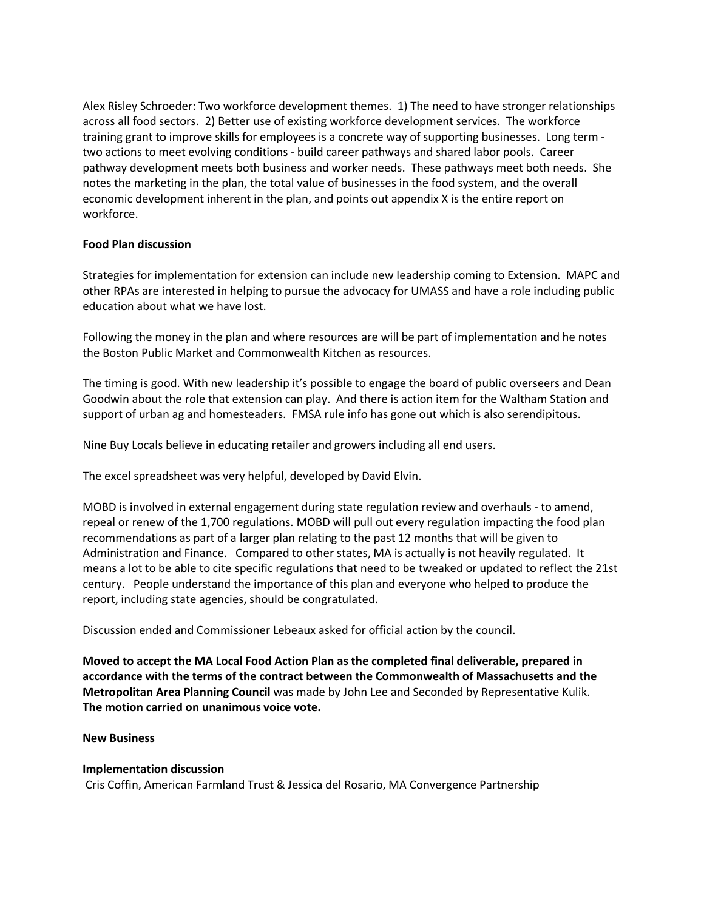Alex Risley Schroeder: Two workforce development themes. 1) The need to have stronger relationships across all food sectors. 2) Better use of existing workforce development services. The workforce training grant to improve skills for employees is a concrete way of supporting businesses. Long term two actions to meet evolving conditions - build career pathways and shared labor pools. Career pathway development meets both business and worker needs. These pathways meet both needs. She notes the marketing in the plan, the total value of businesses in the food system, and the overall economic development inherent in the plan, and points out appendix X is the entire report on workforce.

### **Food Plan discussion**

Strategies for implementation for extension can include new leadership coming to Extension. MAPC and other RPAs are interested in helping to pursue the advocacy for UMASS and have a role including public education about what we have lost.

Following the money in the plan and where resources are will be part of implementation and he notes the Boston Public Market and Commonwealth Kitchen as resources.

The timing is good. With new leadership it's possible to engage the board of public overseers and Dean Goodwin about the role that extension can play. And there is action item for the Waltham Station and support of urban ag and homesteaders. FMSA rule info has gone out which is also serendipitous.

Nine Buy Locals believe in educating retailer and growers including all end users.

The excel spreadsheet was very helpful, developed by David Elvin.

MOBD is involved in external engagement during state regulation review and overhauls - to amend, repeal or renew of the 1,700 regulations. MOBD will pull out every regulation impacting the food plan recommendations as part of a larger plan relating to the past 12 months that will be given to Administration and Finance. Compared to other states, MA is actually is not heavily regulated. It means a lot to be able to cite specific regulations that need to be tweaked or updated to reflect the 21st century. People understand the importance of this plan and everyone who helped to produce the report, including state agencies, should be congratulated.

Discussion ended and Commissioner Lebeaux asked for official action by the council.

**Moved to accept the MA Local Food Action Plan as the completed final deliverable, prepared in accordance with the terms of the contract between the Commonwealth of Massachusetts and the Metropolitan Area Planning Council** was made by John Lee and Seconded by Representative Kulik. **The motion carried on unanimous voice vote.** 

### **New Business**

### **Implementation discussion**

Cris Coffin, American Farmland Trust & Jessica del Rosario, MA Convergence Partnership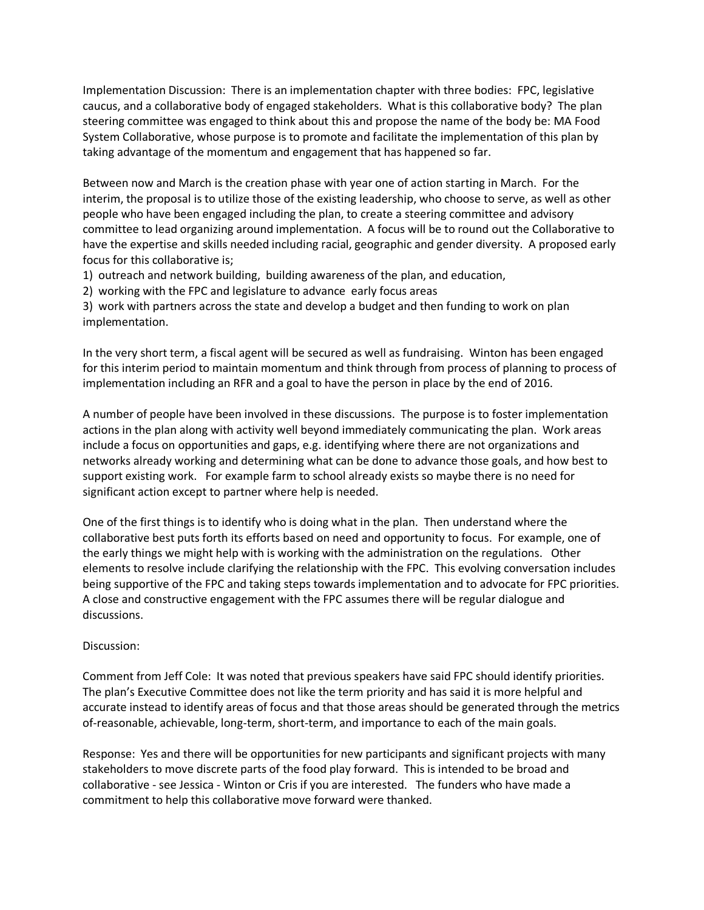Implementation Discussion: There is an implementation chapter with three bodies: FPC, legislative caucus, and a collaborative body of engaged stakeholders. What is this collaborative body? The plan steering committee was engaged to think about this and propose the name of the body be: MA Food System Collaborative, whose purpose is to promote and facilitate the implementation of this plan by taking advantage of the momentum and engagement that has happened so far.

Between now and March is the creation phase with year one of action starting in March. For the interim, the proposal is to utilize those of the existing leadership, who choose to serve, as well as other people who have been engaged including the plan, to create a steering committee and advisory committee to lead organizing around implementation. A focus will be to round out the Collaborative to have the expertise and skills needed including racial, geographic and gender diversity. A proposed early focus for this collaborative is;

- 1) outreach and network building, building awareness of the plan, and education,
- 2) working with the FPC and legislature to advance early focus areas

3) work with partners across the state and develop a budget and then funding to work on plan implementation.

In the very short term, a fiscal agent will be secured as well as fundraising. Winton has been engaged for this interim period to maintain momentum and think through from process of planning to process of implementation including an RFR and a goal to have the person in place by the end of 2016.

A number of people have been involved in these discussions. The purpose is to foster implementation actions in the plan along with activity well beyond immediately communicating the plan. Work areas include a focus on opportunities and gaps, e.g. identifying where there are not organizations and networks already working and determining what can be done to advance those goals, and how best to support existing work. For example farm to school already exists so maybe there is no need for significant action except to partner where help is needed.

One of the first things is to identify who is doing what in the plan. Then understand where the collaborative best puts forth its efforts based on need and opportunity to focus. For example, one of the early things we might help with is working with the administration on the regulations. Other elements to resolve include clarifying the relationship with the FPC. This evolving conversation includes being supportive of the FPC and taking steps towards implementation and to advocate for FPC priorities. A close and constructive engagement with the FPC assumes there will be regular dialogue and discussions.

# Discussion:

Comment from Jeff Cole: It was noted that previous speakers have said FPC should identify priorities. The plan's Executive Committee does not like the term priority and has said it is more helpful and accurate instead to identify areas of focus and that those areas should be generated through the metrics of-reasonable, achievable, long-term, short-term, and importance to each of the main goals.

Response: Yes and there will be opportunities for new participants and significant projects with many stakeholders to move discrete parts of the food play forward. This is intended to be broad and collaborative - see Jessica - Winton or Cris if you are interested. The funders who have made a commitment to help this collaborative move forward were thanked.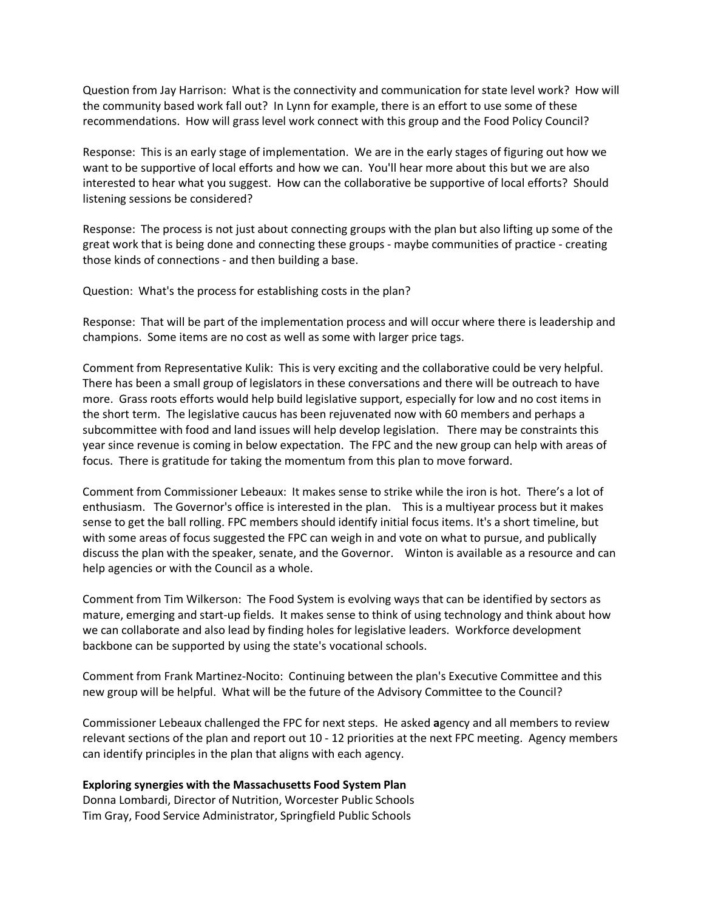Question from Jay Harrison: What is the connectivity and communication for state level work? How will the community based work fall out? In Lynn for example, there is an effort to use some of these recommendations. How will grass level work connect with this group and the Food Policy Council?

Response: This is an early stage of implementation. We are in the early stages of figuring out how we want to be supportive of local efforts and how we can. You'll hear more about this but we are also interested to hear what you suggest. How can the collaborative be supportive of local efforts? Should listening sessions be considered?

Response: The process is not just about connecting groups with the plan but also lifting up some of the great work that is being done and connecting these groups - maybe communities of practice - creating those kinds of connections - and then building a base.

Question: What's the process for establishing costs in the plan?

Response: That will be part of the implementation process and will occur where there is leadership and champions. Some items are no cost as well as some with larger price tags.

Comment from Representative Kulik: This is very exciting and the collaborative could be very helpful. There has been a small group of legislators in these conversations and there will be outreach to have more. Grass roots efforts would help build legislative support, especially for low and no cost items in the short term. The legislative caucus has been rejuvenated now with 60 members and perhaps a subcommittee with food and land issues will help develop legislation. There may be constraints this year since revenue is coming in below expectation. The FPC and the new group can help with areas of focus. There is gratitude for taking the momentum from this plan to move forward.

Comment from Commissioner Lebeaux: It makes sense to strike while the iron is hot. There's a lot of enthusiasm. The Governor's office is interested in the plan. This is a multiyear process but it makes sense to get the ball rolling. FPC members should identify initial focus items. It's a short timeline, but with some areas of focus suggested the FPC can weigh in and vote on what to pursue, and publically discuss the plan with the speaker, senate, and the Governor. Winton is available as a resource and can help agencies or with the Council as a whole.

Comment from Tim Wilkerson: The Food System is evolving ways that can be identified by sectors as mature, emerging and start-up fields. It makes sense to think of using technology and think about how we can collaborate and also lead by finding holes for legislative leaders. Workforce development backbone can be supported by using the state's vocational schools.

Comment from Frank Martinez-Nocito: Continuing between the plan's Executive Committee and this new group will be helpful. What will be the future of the Advisory Committee to the Council?

Commissioner Lebeaux challenged the FPC for next steps. He asked **a**gency and all members to review relevant sections of the plan and report out 10 - 12 priorities at the next FPC meeting. Agency members can identify principles in the plan that aligns with each agency.

# **Exploring synergies with the Massachusetts Food System Plan**

Donna Lombardi, Director of Nutrition, Worcester Public Schools Tim Gray, Food Service Administrator, Springfield Public Schools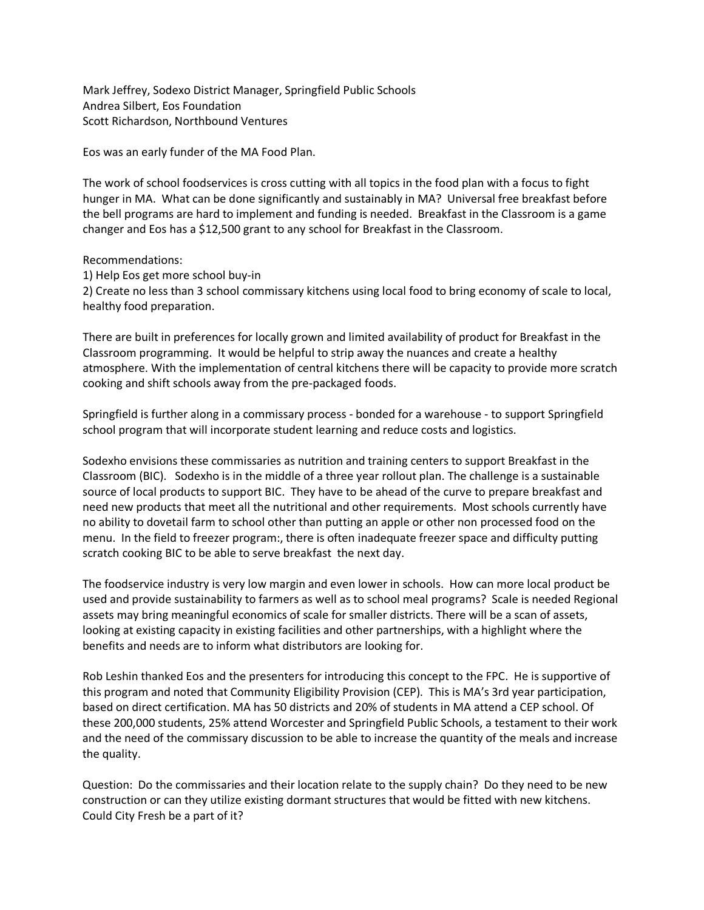Mark Jeffrey, Sodexo District Manager, Springfield Public Schools Andrea Silbert, Eos Foundation Scott Richardson, Northbound Ventures

Eos was an early funder of the MA Food Plan.

The work of school foodservices is cross cutting with all topics in the food plan with a focus to fight hunger in MA. What can be done significantly and sustainably in MA? Universal free breakfast before the bell programs are hard to implement and funding is needed. Breakfast in the Classroom is a game changer and Eos has a \$12,500 grant to any school for Breakfast in the Classroom.

Recommendations:

1) Help Eos get more school buy-in

2) Create no less than 3 school commissary kitchens using local food to bring economy of scale to local, healthy food preparation.

There are built in preferences for locally grown and limited availability of product for Breakfast in the Classroom programming. It would be helpful to strip away the nuances and create a healthy atmosphere. With the implementation of central kitchens there will be capacity to provide more scratch cooking and shift schools away from the pre-packaged foods.

Springfield is further along in a commissary process - bonded for a warehouse - to support Springfield school program that will incorporate student learning and reduce costs and logistics.

Sodexho envisions these commissaries as nutrition and training centers to support Breakfast in the Classroom (BIC). Sodexho is in the middle of a three year rollout plan. The challenge is a sustainable source of local products to support BIC. They have to be ahead of the curve to prepare breakfast and need new products that meet all the nutritional and other requirements. Most schools currently have no ability to dovetail farm to school other than putting an apple or other non processed food on the menu. In the field to freezer program:, there is often inadequate freezer space and difficulty putting scratch cooking BIC to be able to serve breakfast the next day.

The foodservice industry is very low margin and even lower in schools. How can more local product be used and provide sustainability to farmers as well as to school meal programs? Scale is needed Regional assets may bring meaningful economics of scale for smaller districts. There will be a scan of assets, looking at existing capacity in existing facilities and other partnerships, with a highlight where the benefits and needs are to inform what distributors are looking for.

Rob Leshin thanked Eos and the presenters for introducing this concept to the FPC. He is supportive of this program and noted that Community Eligibility Provision (CEP). This is MA's 3rd year participation, based on direct certification. MA has 50 districts and 20% of students in MA attend a CEP school. Of these 200,000 students, 25% attend Worcester and Springfield Public Schools, a testament to their work and the need of the commissary discussion to be able to increase the quantity of the meals and increase the quality.

Question: Do the commissaries and their location relate to the supply chain? Do they need to be new construction or can they utilize existing dormant structures that would be fitted with new kitchens. Could City Fresh be a part of it?